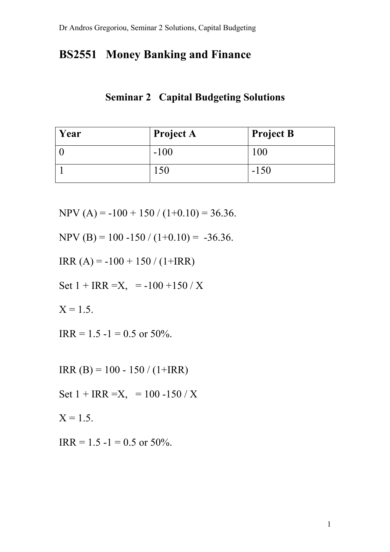## **BS2551 Money Banking and Finance**

## **Seminar 2 Capital Budgeting Solutions**

| Year | <b>Project A</b> | <b>Project B</b> |
|------|------------------|------------------|
|      | $-100$           | l 00             |
|      |                  | $-150$           |

NPV (A) =  $-100 + 150 / (1 + 0.10) = 36.36$ .

NPV (B) = 100 -150 / (1+0.10) = -36.36.

IRR (A) = -100 + 150 / (1+IRR)

Set  $1 + IRR = X$ , = -100 +150 / X

 $X = 1.5$ .

 $IRR = 1.5 - 1 = 0.5$  or 50%.

IRR (B) = 100 - 150 / (1+IRR)

Set  $1 + IRR = X$ , = 100 -150 / X

 $X = 1.5$ .

 $IRR = 1.5 - 1 = 0.5$  or 50%.